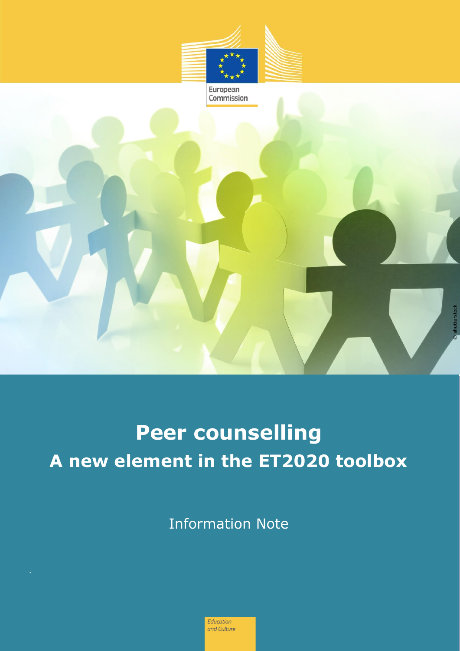

European Commission

**Peer counselling A new element in the ET2020 toolbox** © shutterstock

Information Note

Education and Culture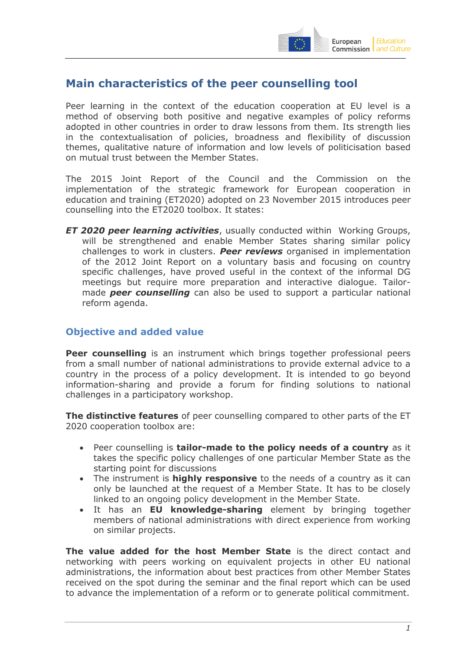

# **Main characteristics of the peer counselling tool**

Peer learning in the context of the education cooperation at EU level is a method of observing both positive and negative examples of policy reforms adopted in other countries in order to draw lessons from them. Its strength lies in the contextualisation of policies, broadness and flexibility of discussion themes, qualitative nature of information and low levels of politicisation based on mutual trust between the Member States.

The 2015 Joint Report of the Council and the Commission on the implementation of the strategic framework for European cooperation in education and training (ET2020) adopted on 23 November 2015 introduces peer counselling into the ET2020 toolbox. It states:

*ET 2020 peer learning activities*, usually conducted within Working Groups, will be strengthened and enable Member States sharing similar policy challenges to work in clusters. *Peer reviews* organised in implementation of the 2012 Joint Report on a voluntary basis and focusing on country specific challenges, have proved useful in the context of the informal DG meetings but require more preparation and interactive dialogue. Tailormade *peer counselling* can also be used to support a particular national reform agenda.

#### **Objective and added value**

**Peer counselling** is an instrument which brings together professional peers from a small number of national administrations to provide external advice to a country in the process of a policy development. It is intended to go beyond information-sharing and provide a forum for finding solutions to national challenges in a participatory workshop.

**The distinctive features** of peer counselling compared to other parts of the ET 2020 cooperation toolbox are:

- Peer counselling is **tailor-made to the policy needs of a country** as it takes the specific policy challenges of one particular Member State as the starting point for discussions
- The instrument is **highly responsive** to the needs of a country as it can only be launched at the request of a Member State. It has to be closely linked to an ongoing policy development in the Member State.
- It has an **EU knowledge-sharing** element by bringing together members of national administrations with direct experience from working on similar projects.

**The value added for the host Member State** is the direct contact and networking with peers working on equivalent projects in other EU national administrations, the information about best practices from other Member States received on the spot during the seminar and the final report which can be used to advance the implementation of a reform or to generate political commitment.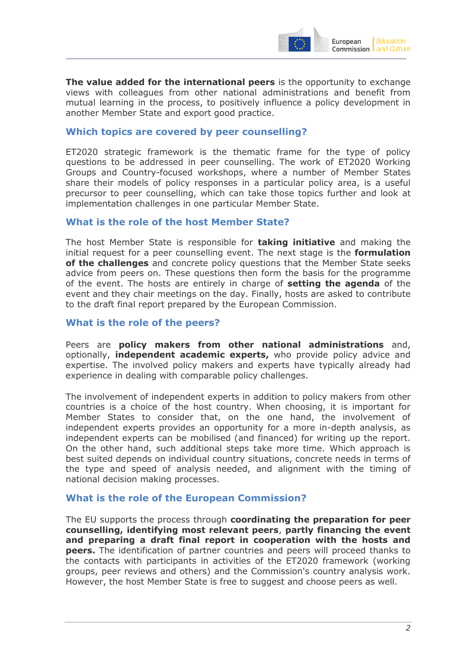

**The value added for the international peers** is the opportunity to exchange views with colleagues from other national administrations and benefit from mutual learning in the process, to positively influence a policy development in another Member State and export good practice.

#### **Which topics are covered by peer counselling?**

ET2020 strategic framework is the thematic frame for the type of policy questions to be addressed in peer counselling. The work of ET2020 Working Groups and Country-focused workshops, where a number of Member States share their models of policy responses in a particular policy area, is a useful precursor to peer counselling, which can take those topics further and look at implementation challenges in one particular Member State.

#### **What is the role of the host Member State?**

The host Member State is responsible for **taking initiative** and making the initial request for a peer counselling event. The next stage is the **formulation of the challenges** and concrete policy questions that the Member State seeks advice from peers on. These questions then form the basis for the programme of the event. The hosts are entirely in charge of **setting the agenda** of the event and they chair meetings on the day. Finally, hosts are asked to contribute to the draft final report prepared by the European Commission.

#### **What is the role of the peers?**

Peers are **policy makers from other national administrations** and, optionally, **independent academic experts,** who provide policy advice and expertise. The involved policy makers and experts have typically already had experience in dealing with comparable policy challenges.

The involvement of independent experts in addition to policy makers from other countries is a choice of the host country. When choosing, it is important for Member States to consider that, on the one hand, the involvement of independent experts provides an opportunity for a more in-depth analysis, as independent experts can be mobilised (and financed) for writing up the report. On the other hand, such additional steps take more time. Which approach is best suited depends on individual country situations, concrete needs in terms of the type and speed of analysis needed, and alignment with the timing of national decision making processes.

#### **What is the role of the European Commission?**

The EU supports the process through **coordinating the preparation for peer counselling, identifying most relevant peers**, **partly financing the event and preparing a draft final report in cooperation with the hosts and peers.** The identification of partner countries and peers will proceed thanks to the contacts with participants in activities of the ET2020 framework (working groups, peer reviews and others) and the Commission's country analysis work. However, the host Member State is free to suggest and choose peers as well.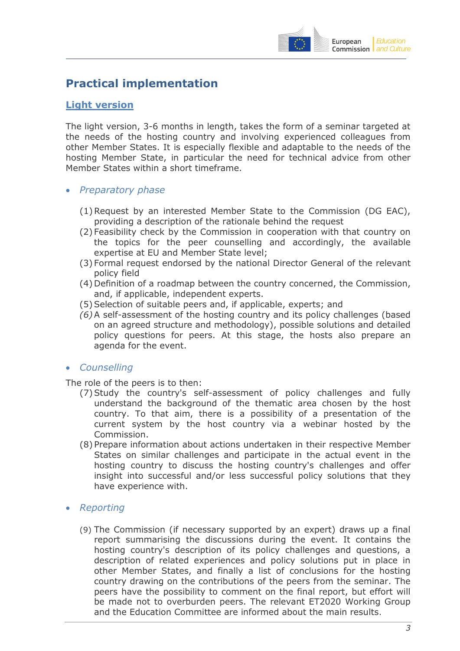

# **Practical implementation**

### **Light version**

The light version, 3-6 months in length, takes the form of a seminar targeted at the needs of the hosting country and involving experienced colleagues from other Member States. It is especially flexible and adaptable to the needs of the hosting Member State, in particular the need for technical advice from other Member States within a short timeframe.

- *Preparatory phase* 
	- (1)Request by an interested Member State to the Commission (DG EAC), providing a description of the rationale behind the request
	- (2) Feasibility check by the Commission in cooperation with that country on the topics for the peer counselling and accordingly, the available expertise at EU and Member State level;
	- (3) Formal request endorsed by the national Director General of the relevant policy field
	- (4) Definition of a roadmap between the country concerned, the Commission, and, if applicable, independent experts.
	- (5) Selection of suitable peers and, if applicable, experts; and
	- *(6)*A self-assessment of the hosting country and its policy challenges (based on an agreed structure and methodology), possible solutions and detailed policy questions for peers. At this stage, the hosts also prepare an agenda for the event.
- *Counselling*

The role of the peers is to then:

- (7)Study the country's self-assessment of policy challenges and fully understand the background of the thematic area chosen by the host country. To that aim, there is a possibility of a presentation of the current system by the host country via a webinar hosted by the Commission.
- (8) Prepare information about actions undertaken in their respective Member States on similar challenges and participate in the actual event in the hosting country to discuss the hosting country's challenges and offer insight into successful and/or less successful policy solutions that they have experience with.
- *Reporting* 
	- (9) The Commission (if necessary supported by an expert) draws up a final report summarising the discussions during the event. It contains the hosting country's description of its policy challenges and questions, a description of related experiences and policy solutions put in place in other Member States, and finally a list of conclusions for the hosting country drawing on the contributions of the peers from the seminar. The peers have the possibility to comment on the final report, but effort will be made not to overburden peers. The relevant ET2020 Working Group and the Education Committee are informed about the main results.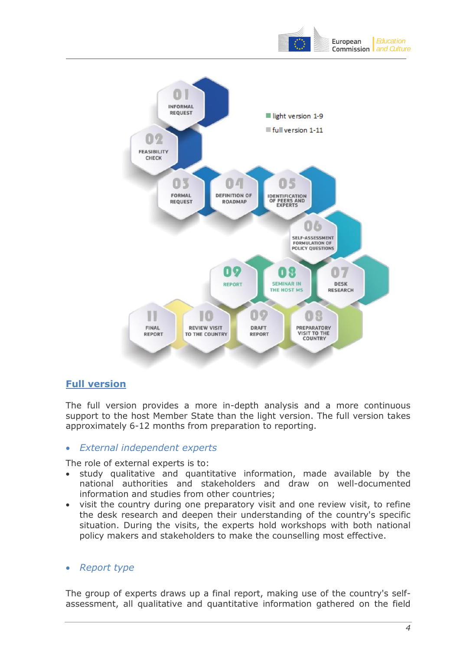



### **Full version**

The full version provides a more in-depth analysis and a more continuous support to the host Member State than the light version. The full version takes approximately 6-12 months from preparation to reporting.

### *External independent experts*

The role of external experts is to:

- study qualitative and quantitative information, made available by the national authorities and stakeholders and draw on well-documented information and studies from other countries;
- visit the country during one preparatory visit and one review visit, to refine the desk research and deepen their understanding of the country's specific situation. During the visits, the experts hold workshops with both national policy makers and stakeholders to make the counselling most effective.

### *Report type*

The group of experts draws up a final report, making use of the country's selfassessment, all qualitative and quantitative information gathered on the field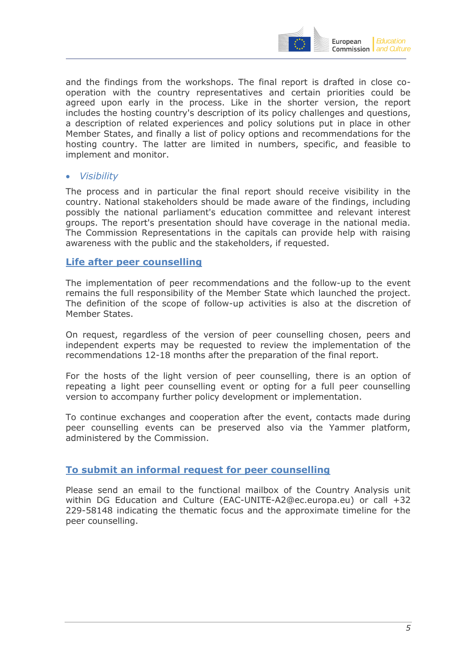

and the findings from the workshops. The final report is drafted in close cooperation with the country representatives and certain priorities could be agreed upon early in the process. Like in the shorter version, the report includes the hosting country's description of its policy challenges and questions, a description of related experiences and policy solutions put in place in other Member States, and finally a list of policy options and recommendations for the hosting country. The latter are limited in numbers, specific, and feasible to implement and monitor.

#### *Visibility*

The process and in particular the final report should receive visibility in the country. National stakeholders should be made aware of the findings, including possibly the national parliament's education committee and relevant interest groups. The report's presentation should have coverage in the national media. The Commission Representations in the capitals can provide help with raising awareness with the public and the stakeholders, if requested.

#### **Life after peer counselling**

The implementation of peer recommendations and the follow-up to the event remains the full responsibility of the Member State which launched the project. The definition of the scope of follow-up activities is also at the discretion of Member States.

On request, regardless of the version of peer counselling chosen, peers and independent experts may be requested to review the implementation of the recommendations 12-18 months after the preparation of the final report.

For the hosts of the light version of peer counselling, there is an option of repeating a light peer counselling event or opting for a full peer counselling version to accompany further policy development or implementation.

To continue exchanges and cooperation after the event, contacts made during peer counselling events can be preserved also via the Yammer platform, administered by the Commission.

#### **To submit an informal request for peer counselling**

Please send an email to the functional mailbox of the Country Analysis unit within DG Education and Culture [\(EAC-UNITE-A2@ec.europa.eu\)](mailto:EAC-UNITE-A2@ec.europa.eu) or call +32 229-58148 indicating the thematic focus and the approximate timeline for the peer counselling.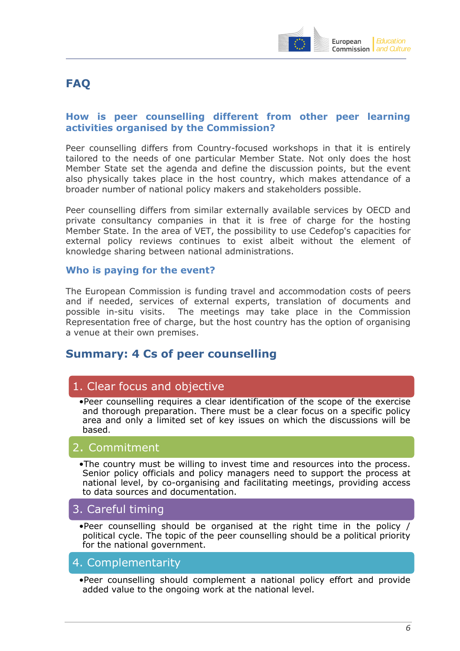

# **FAQ**

### **How is peer counselling different from other peer learning activities organised by the Commission?**

Peer counselling differs from Country-focused workshops in that it is entirely tailored to the needs of one particular Member State. Not only does the host Member State set the agenda and define the discussion points, but the event also physically takes place in the host country, which makes attendance of a broader number of national policy makers and stakeholders possible.

Peer counselling differs from similar externally available services by OECD and private consultancy companies in that it is free of charge for the hosting Member State. In the area of VET, the possibility to use Cedefop's capacities for external policy reviews continues to exist albeit without the element of knowledge sharing between national administrations.

#### **Who is paying for the event?**

The European Commission is funding travel and accommodation costs of peers and if needed, services of external experts, translation of documents and possible in-situ visits. The meetings may take place in the Commission Representation free of charge, but the host country has the option of organising a venue at their own premises.

## **Summary: 4 Cs of peer counselling**

### 1. Clear focus and objective

•Peer counselling requires a clear identification of the scope of the exercise and thorough preparation. There must be a clear focus on a specific policy area and only a limited set of key issues on which the discussions will be based.

### 2. Commitment

•The country must be willing to invest time and resources into the process. Senior policy officials and policy managers need to support the process at national level, by co-organising and facilitating meetings, providing access to data sources and documentation.

### 3. Careful timing

•Peer counselling should be organised at the right time in the policy / political cycle. The topic of the peer counselling should be a political priority for the national government.

### 4. Complementarity

•Peer counselling should complement a national policy effort and provide added value to the ongoing work at the national level.